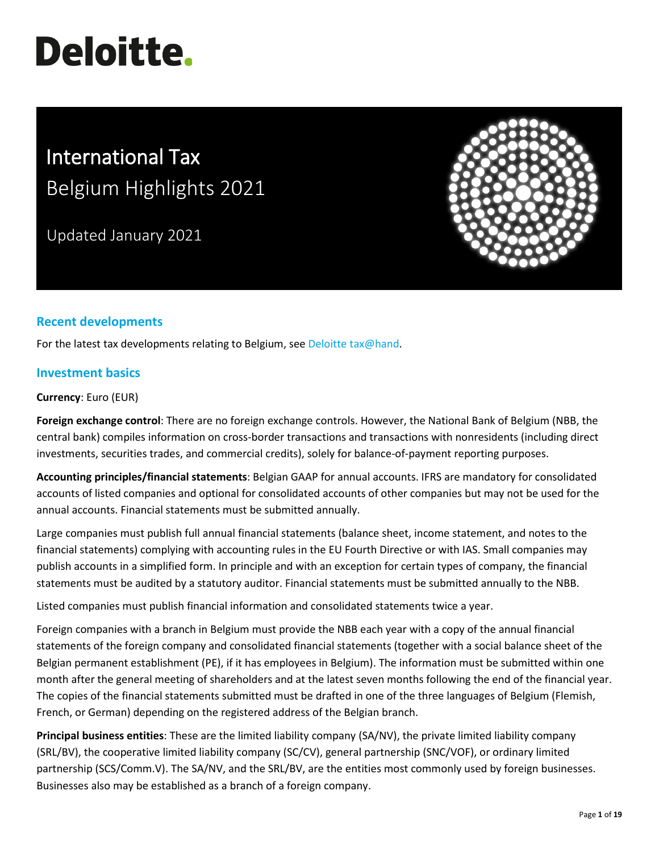# **Deloitte.**

# International Tax Belgium Highlights 2021

Updated January 2021



# **Recent developments**

For the latest tax developments relating to Belgium, se[e Deloitte tax@hand.](https://www.taxathand.com/world-news/Belgium)

# **Investment basics**

#### **Currency**: Euro (EUR)

**Foreign exchange control**: There are no foreign exchange controls. However, the National Bank of Belgium (NBB, the central bank) compiles information on cross-border transactions and transactions with nonresidents (including direct investments, securities trades, and commercial credits), solely for balance-of-payment reporting purposes.

**Accounting principles/financial statements**: Belgian GAAP for annual accounts. IFRS are mandatory for consolidated accounts of listed companies and optional for consolidated accounts of other companies but may not be used for the annual accounts. Financial statements must be submitted annually.

Large companies must publish full annual financial statements (balance sheet, income statement, and notes to the financial statements) complying with accounting rules in the EU Fourth Directive or with IAS. Small companies may publish accounts in a simplified form. In principle and with an exception for certain types of company, the financial statements must be audited by a statutory auditor. Financial statements must be submitted annually to the NBB.

Listed companies must publish financial information and consolidated statements twice a year.

Foreign companies with a branch in Belgium must provide the NBB each year with a copy of the annual financial statements of the foreign company and consolidated financial statements (together with a social balance sheet of the Belgian permanent establishment (PE), if it has employees in Belgium). The information must be submitted within one month after the general meeting of shareholders and at the latest seven months following the end of the financial year. The copies of the financial statements submitted must be drafted in one of the three languages of Belgium (Flemish, French, or German) depending on the registered address of the Belgian branch.

**Principal business entities**: These are the limited liability company (SA/NV), the private limited liability company (SRL/BV), the cooperative limited liability company (SC/CV), general partnership (SNC/VOF), or ordinary limited partnership (SCS/Comm.V). The SA/NV, and the SRL/BV, are the entities most commonly used by foreign businesses. Businesses also may be established as a branch of a foreign company.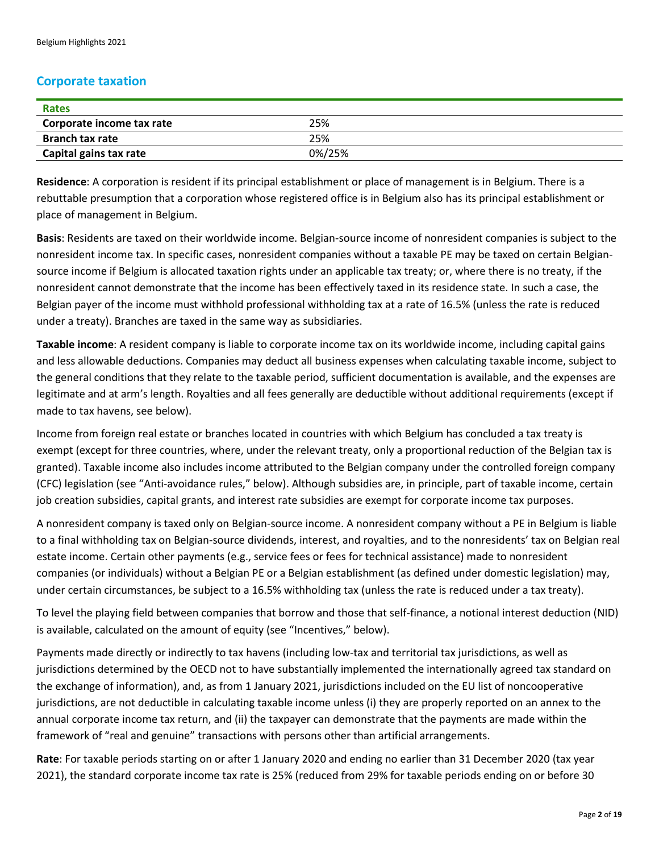## **Corporate taxation**

| <b>Rates</b>              |        |
|---------------------------|--------|
| Corporate income tax rate | 25%    |
| <b>Branch tax rate</b>    | 25%    |
| Capital gains tax rate    | 0%/25% |

**Residence**: A corporation is resident if its principal establishment or place of management is in Belgium. There is a rebuttable presumption that a corporation whose registered office is in Belgium also has its principal establishment or place of management in Belgium.

**Basis**: Residents are taxed on their worldwide income. Belgian-source income of nonresident companies is subject to the nonresident income tax. In specific cases, nonresident companies without a taxable PE may be taxed on certain Belgiansource income if Belgium is allocated taxation rights under an applicable tax treaty; or, where there is no treaty, if the nonresident cannot demonstrate that the income has been effectively taxed in its residence state. In such a case, the Belgian payer of the income must withhold professional withholding tax at a rate of 16.5% (unless the rate is reduced under a treaty). Branches are taxed in the same way as subsidiaries.

**Taxable income**: A resident company is liable to corporate income tax on its worldwide income, including capital gains and less allowable deductions. Companies may deduct all business expenses when calculating taxable income, subject to the general conditions that they relate to the taxable period, sufficient documentation is available, and the expenses are legitimate and at arm's length. Royalties and all fees generally are deductible without additional requirements (except if made to tax havens, see below).

Income from foreign real estate or branches located in countries with which Belgium has concluded a tax treaty is exempt (except for three countries, where, under the relevant treaty, only a proportional reduction of the Belgian tax is granted). Taxable income also includes income attributed to the Belgian company under the controlled foreign company (CFC) legislation (see "Anti-avoidance rules," below). Although subsidies are, in principle, part of taxable income, certain job creation subsidies, capital grants, and interest rate subsidies are exempt for corporate income tax purposes.

A nonresident company is taxed only on Belgian-source income. A nonresident company without a PE in Belgium is liable to a final withholding tax on Belgian-source dividends, interest, and royalties, and to the nonresidents' tax on Belgian real estate income. Certain other payments (e.g., service fees or fees for technical assistance) made to nonresident companies (or individuals) without a Belgian PE or a Belgian establishment (as defined under domestic legislation) may, under certain circumstances, be subject to a 16.5% withholding tax (unless the rate is reduced under a tax treaty).

To level the playing field between companies that borrow and those that self-finance, a notional interest deduction (NID) is available, calculated on the amount of equity (see "Incentives," below).

Payments made directly or indirectly to tax havens (including low-tax and territorial tax jurisdictions, as well as jurisdictions determined by the OECD not to have substantially implemented the internationally agreed tax standard on the exchange of information), and, as from 1 January 2021, jurisdictions included on the EU list of noncooperative jurisdictions, are not deductible in calculating taxable income unless (i) they are properly reported on an annex to the annual corporate income tax return, and (ii) the taxpayer can demonstrate that the payments are made within the framework of "real and genuine" transactions with persons other than artificial arrangements.

**Rate**: For taxable periods starting on or after 1 January 2020 and ending no earlier than 31 December 2020 (tax year 2021), the standard corporate income tax rate is 25% (reduced from 29% for taxable periods ending on or before 30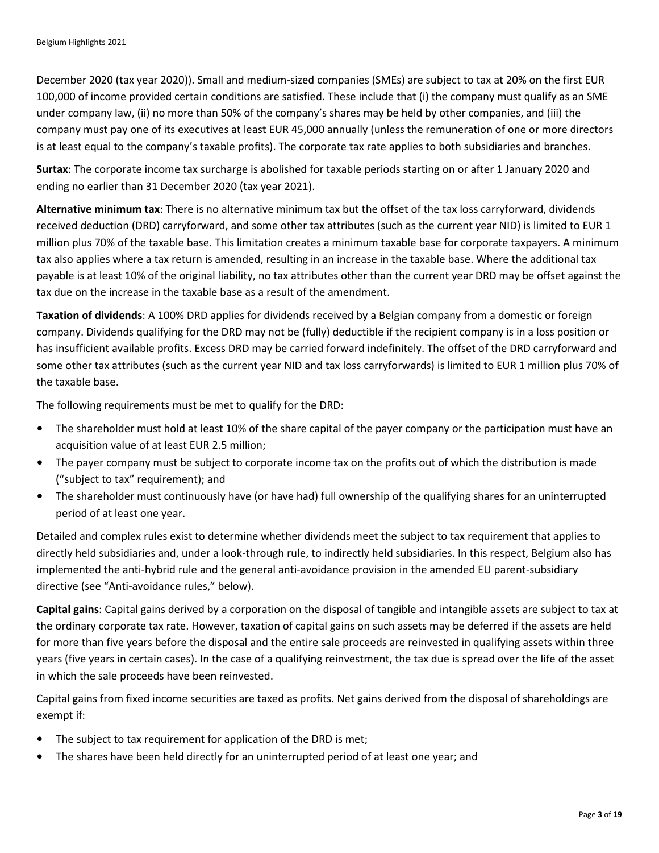December 2020 (tax year 2020)). Small and medium-sized companies (SMEs) are subject to tax at 20% on the first EUR 100,000 of income provided certain conditions are satisfied. These include that (i) the company must qualify as an SME under company law, (ii) no more than 50% of the company's shares may be held by other companies, and (iii) the company must pay one of its executives at least EUR 45,000 annually (unless the remuneration of one or more directors is at least equal to the company's taxable profits). The corporate tax rate applies to both subsidiaries and branches.

**Surtax**: The corporate income tax surcharge is abolished for taxable periods starting on or after 1 January 2020 and ending no earlier than 31 December 2020 (tax year 2021).

**Alternative minimum tax**: There is no alternative minimum tax but the offset of the tax loss carryforward, dividends received deduction (DRD) carryforward, and some other tax attributes (such as the current year NID) is limited to EUR 1 million plus 70% of the taxable base. This limitation creates a minimum taxable base for corporate taxpayers. A minimum tax also applies where a tax return is amended, resulting in an increase in the taxable base. Where the additional tax payable is at least 10% of the original liability, no tax attributes other than the current year DRD may be offset against the tax due on the increase in the taxable base as a result of the amendment.

**Taxation of dividends**: A 100% DRD applies for dividends received by a Belgian company from a domestic or foreign company. Dividends qualifying for the DRD may not be (fully) deductible if the recipient company is in a loss position or has insufficient available profits. Excess DRD may be carried forward indefinitely. The offset of the DRD carryforward and some other tax attributes (such as the current year NID and tax loss carryforwards) is limited to EUR 1 million plus 70% of the taxable base.

The following requirements must be met to qualify for the DRD:

- The shareholder must hold at least 10% of the share capital of the payer company or the participation must have an acquisition value of at least EUR 2.5 million;
- The payer company must be subject to corporate income tax on the profits out of which the distribution is made ("subject to tax" requirement); and
- The shareholder must continuously have (or have had) full ownership of the qualifying shares for an uninterrupted period of at least one year.

Detailed and complex rules exist to determine whether dividends meet the subject to tax requirement that applies to directly held subsidiaries and, under a look-through rule, to indirectly held subsidiaries. In this respect, Belgium also has implemented the anti-hybrid rule and the general anti-avoidance provision in the amended EU parent-subsidiary directive (see "Anti-avoidance rules," below).

**Capital gains**: Capital gains derived by a corporation on the disposal of tangible and intangible assets are subject to tax at the ordinary corporate tax rate. However, taxation of capital gains on such assets may be deferred if the assets are held for more than five years before the disposal and the entire sale proceeds are reinvested in qualifying assets within three years (five years in certain cases). In the case of a qualifying reinvestment, the tax due is spread over the life of the asset in which the sale proceeds have been reinvested.

Capital gains from fixed income securities are taxed as profits. Net gains derived from the disposal of shareholdings are exempt if:

- The subject to tax requirement for application of the DRD is met;
- The shares have been held directly for an uninterrupted period of at least one year; and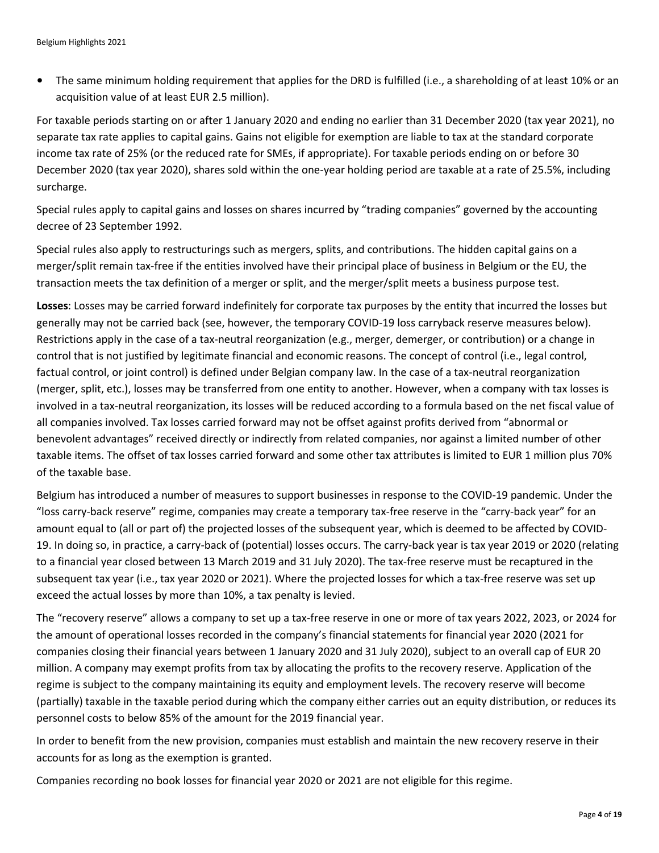• The same minimum holding requirement that applies for the DRD is fulfilled (i.e., a shareholding of at least 10% or an acquisition value of at least EUR 2.5 million).

For taxable periods starting on or after 1 January 2020 and ending no earlier than 31 December 2020 (tax year 2021), no separate tax rate applies to capital gains. Gains not eligible for exemption are liable to tax at the standard corporate income tax rate of 25% (or the reduced rate for SMEs, if appropriate). For taxable periods ending on or before 30 December 2020 (tax year 2020), shares sold within the one-year holding period are taxable at a rate of 25.5%, including surcharge.

Special rules apply to capital gains and losses on shares incurred by "trading companies" governed by the accounting decree of 23 September 1992.

Special rules also apply to restructurings such as mergers, splits, and contributions. The hidden capital gains on a merger/split remain tax-free if the entities involved have their principal place of business in Belgium or the EU, the transaction meets the tax definition of a merger or split, and the merger/split meets a business purpose test.

**Losses**: Losses may be carried forward indefinitely for corporate tax purposes by the entity that incurred the losses but generally may not be carried back (see, however, the temporary COVID-19 loss carryback reserve measures below). Restrictions apply in the case of a tax-neutral reorganization (e.g., merger, demerger, or contribution) or a change in control that is not justified by legitimate financial and economic reasons. The concept of control (i.e., legal control, factual control, or joint control) is defined under Belgian company law. In the case of a tax-neutral reorganization (merger, split, etc.), losses may be transferred from one entity to another. However, when a company with tax losses is involved in a tax-neutral reorganization, its losses will be reduced according to a formula based on the net fiscal value of all companies involved. Tax losses carried forward may not be offset against profits derived from "abnormal or benevolent advantages" received directly or indirectly from related companies, nor against a limited number of other taxable items. The offset of tax losses carried forward and some other tax attributes is limited to EUR 1 million plus 70% of the taxable base.

Belgium has introduced a number of measures to support businesses in response to the COVID-19 pandemic. Under the "loss carry-back reserve" regime, companies may create a temporary tax-free reserve in the "carry-back year" for an amount equal to (all or part of) the projected losses of the subsequent year, which is deemed to be affected by COVID-19. In doing so, in practice, a carry-back of (potential) losses occurs. The carry-back year is tax year 2019 or 2020 (relating to a financial year closed between 13 March 2019 and 31 July 2020). The tax-free reserve must be recaptured in the subsequent tax year (i.e., tax year 2020 or 2021). Where the projected losses for which a tax-free reserve was set up exceed the actual losses by more than 10%, a tax penalty is levied.

The "recovery reserve" allows a company to set up a tax-free reserve in one or more of tax years 2022, 2023, or 2024 for the amount of operational losses recorded in the company's financial statements for financial year 2020 (2021 for companies closing their financial years between 1 January 2020 and 31 July 2020), subject to an overall cap of EUR 20 million. A company may exempt profits from tax by allocating the profits to the recovery reserve. Application of the regime is subject to the company maintaining its equity and employment levels. The recovery reserve will become (partially) taxable in the taxable period during which the company either carries out an equity distribution, or reduces its personnel costs to below 85% of the amount for the 2019 financial year.

In order to benefit from the new provision, companies must establish and maintain the new recovery reserve in their accounts for as long as the exemption is granted.

Companies recording no book losses for financial year 2020 or 2021 are not eligible for this regime.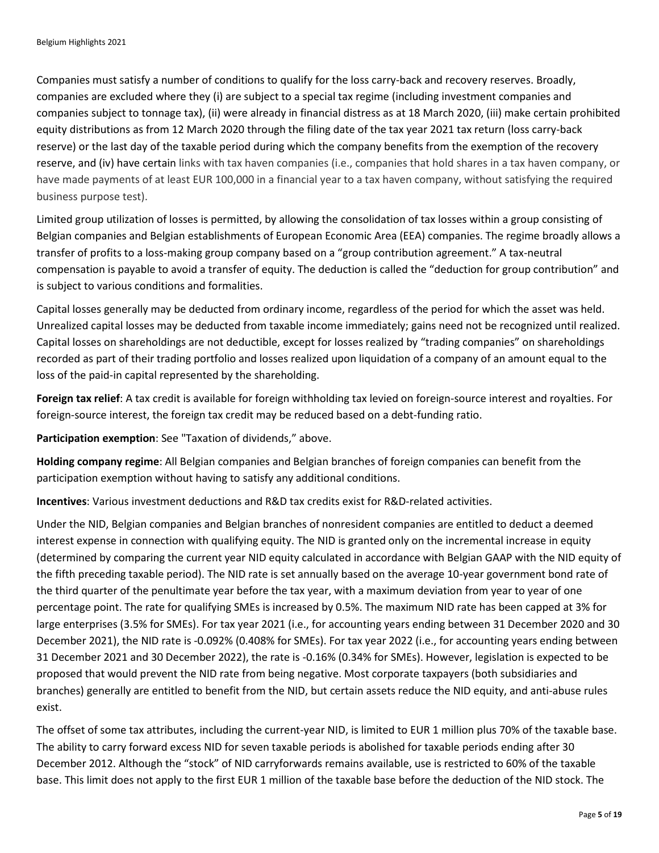Companies must satisfy a number of conditions to qualify for the loss carry-back and recovery reserves. Broadly, companies are excluded where they (i) are subject to a special tax regime (including investment companies and companies subject to tonnage tax), (ii) were already in financial distress as at 18 March 2020, (iii) make certain prohibited equity distributions as from 12 March 2020 through the filing date of the tax year 2021 tax return (loss carry-back reserve) or the last day of the taxable period during which the company benefits from the exemption of the recovery reserve, and (iv) have certain links with tax haven companies (i.e., companies that hold shares in a tax haven company, or have made payments of at least EUR 100,000 in a financial year to a tax haven company, without satisfying the required business purpose test).

Limited group utilization of losses is permitted, by allowing the consolidation of tax losses within a group consisting of Belgian companies and Belgian establishments of European Economic Area (EEA) companies. The regime broadly allows a transfer of profits to a loss-making group company based on a "group contribution agreement." A tax-neutral compensation is payable to avoid a transfer of equity. The deduction is called the "deduction for group contribution" and is subject to various conditions and formalities.

Capital losses generally may be deducted from ordinary income, regardless of the period for which the asset was held. Unrealized capital losses may be deducted from taxable income immediately; gains need not be recognized until realized. Capital losses on shareholdings are not deductible, except for losses realized by "trading companies" on shareholdings recorded as part of their trading portfolio and losses realized upon liquidation of a company of an amount equal to the loss of the paid-in capital represented by the shareholding.

**Foreign tax relief**: A tax credit is available for foreign withholding tax levied on foreign-source interest and royalties. For foreign-source interest, the foreign tax credit may be reduced based on a debt-funding ratio.

**Participation exemption**: See "Taxation of dividends," above.

**Holding company regime**: All Belgian companies and Belgian branches of foreign companies can benefit from the participation exemption without having to satisfy any additional conditions.

**Incentives**: Various investment deductions and R&D tax credits exist for R&D-related activities.

Under the NID, Belgian companies and Belgian branches of nonresident companies are entitled to deduct a deemed interest expense in connection with qualifying equity. The NID is granted only on the incremental increase in equity (determined by comparing the current year NID equity calculated in accordance with Belgian GAAP with the NID equity of the fifth preceding taxable period). The NID rate is set annually based on the average 10-year government bond rate of the third quarter of the penultimate year before the tax year, with a maximum deviation from year to year of one percentage point. The rate for qualifying SMEs is increased by 0.5%. The maximum NID rate has been capped at 3% for large enterprises (3.5% for SMEs). For tax year 2021 (i.e., for accounting years ending between 31 December 2020 and 30 December 2021), the NID rate is -0.092% (0.408% for SMEs). For tax year 2022 (i.e., for accounting years ending between 31 December 2021 and 30 December 2022), the rate is -0.16% (0.34% for SMEs). However, legislation is expected to be proposed that would prevent the NID rate from being negative. Most corporate taxpayers (both subsidiaries and branches) generally are entitled to benefit from the NID, but certain assets reduce the NID equity, and anti-abuse rules exist.

The offset of some tax attributes, including the current-year NID, is limited to EUR 1 million plus 70% of the taxable base. The ability to carry forward excess NID for seven taxable periods is abolished for taxable periods ending after 30 December 2012. Although the "stock" of NID carryforwards remains available, use is restricted to 60% of the taxable base. This limit does not apply to the first EUR 1 million of the taxable base before the deduction of the NID stock. The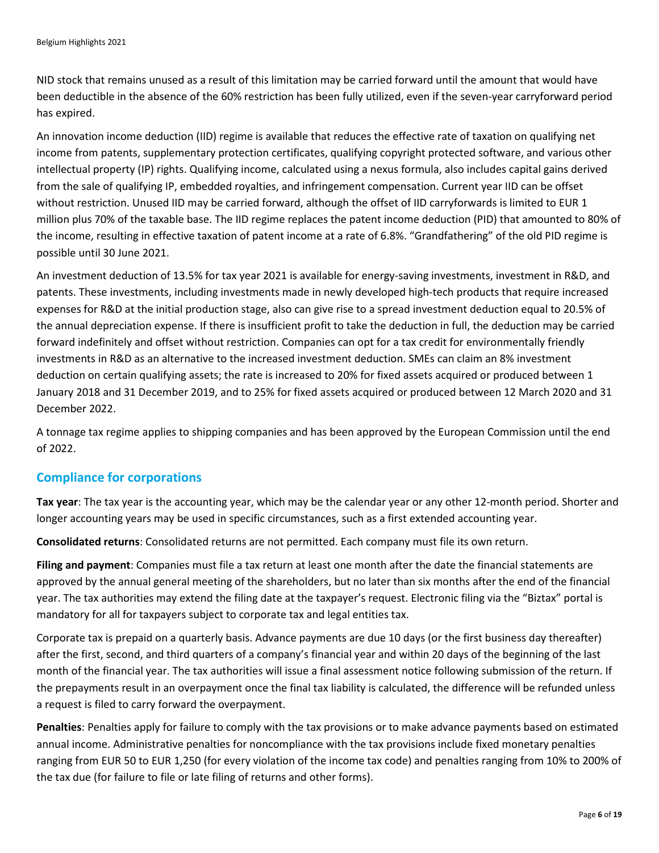NID stock that remains unused as a result of this limitation may be carried forward until the amount that would have been deductible in the absence of the 60% restriction has been fully utilized, even if the seven-year carryforward period has expired.

An innovation income deduction (IID) regime is available that reduces the effective rate of taxation on qualifying net income from patents, supplementary protection certificates, qualifying copyright protected software, and various other intellectual property (IP) rights. Qualifying income, calculated using a nexus formula, also includes capital gains derived from the sale of qualifying IP, embedded royalties, and infringement compensation. Current year IID can be offset without restriction. Unused IID may be carried forward, although the offset of IID carryforwards is limited to EUR 1 million plus 70% of the taxable base. The IID regime replaces the patent income deduction (PID) that amounted to 80% of the income, resulting in effective taxation of patent income at a rate of 6.8%. "Grandfathering" of the old PID regime is possible until 30 June 2021.

An investment deduction of 13.5% for tax year 2021 is available for energy-saving investments, investment in R&D, and patents. These investments, including investments made in newly developed high-tech products that require increased expenses for R&D at the initial production stage, also can give rise to a spread investment deduction equal to 20.5% of the annual depreciation expense. If there is insufficient profit to take the deduction in full, the deduction may be carried forward indefinitely and offset without restriction. Companies can opt for a tax credit for environmentally friendly investments in R&D as an alternative to the increased investment deduction. SMEs can claim an 8% investment deduction on certain qualifying assets; the rate is increased to 20% for fixed assets acquired or produced between 1 January 2018 and 31 December 2019, and to 25% for fixed assets acquired or produced between 12 March 2020 and 31 December 2022.

A tonnage tax regime applies to shipping companies and has been approved by the European Commission until the end of 2022.

#### **Compliance for corporations**

**Tax year**: The tax year is the accounting year, which may be the calendar year or any other 12-month period. Shorter and longer accounting years may be used in specific circumstances, such as a first extended accounting year.

**Consolidated returns**: Consolidated returns are not permitted. Each company must file its own return.

**Filing and payment**: Companies must file a tax return at least one month after the date the financial statements are approved by the annual general meeting of the shareholders, but no later than six months after the end of the financial year. The tax authorities may extend the filing date at the taxpayer's request. Electronic filing via the "Biztax" portal is mandatory for all for taxpayers subject to corporate tax and legal entities tax.

Corporate tax is prepaid on a quarterly basis. Advance payments are due 10 days (or the first business day thereafter) after the first, second, and third quarters of a company's financial year and within 20 days of the beginning of the last month of the financial year. The tax authorities will issue a final assessment notice following submission of the return. If the prepayments result in an overpayment once the final tax liability is calculated, the difference will be refunded unless a request is filed to carry forward the overpayment.

**Penalties**: Penalties apply for failure to comply with the tax provisions or to make advance payments based on estimated annual income. Administrative penalties for noncompliance with the tax provisions include fixed monetary penalties ranging from EUR 50 to EUR 1,250 (for every violation of the income tax code) and penalties ranging from 10% to 200% of the tax due (for failure to file or late filing of returns and other forms).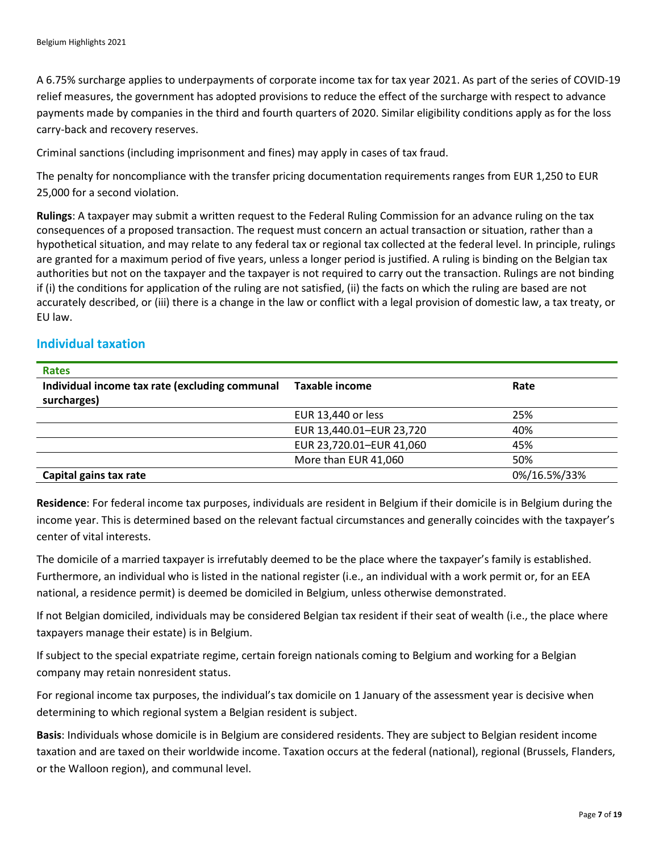A 6.75% surcharge applies to underpayments of corporate income tax for tax year 2021. As part of the series of COVID-19 relief measures, the government has adopted provisions to reduce the effect of the surcharge with respect to advance payments made by companies in the third and fourth quarters of 2020. Similar eligibility conditions apply as for the loss carry-back and recovery reserves.

Criminal sanctions (including imprisonment and fines) may apply in cases of tax fraud.

The penalty for noncompliance with the transfer pricing documentation requirements ranges from EUR 1,250 to EUR 25,000 for a second violation.

**Rulings**: A taxpayer may submit a written request to the Federal Ruling Commission for an advance ruling on the tax consequences of a proposed transaction. The request must concern an actual transaction or situation, rather than a hypothetical situation, and may relate to any federal tax or regional tax collected at the federal level. In principle, rulings are granted for a maximum period of five years, unless a longer period is justified. A ruling is binding on the Belgian tax authorities but not on the taxpayer and the taxpayer is not required to carry out the transaction. Rulings are not binding if (i) the conditions for application of the ruling are not satisfied, (ii) the facts on which the ruling are based are not accurately described, or (iii) there is a change in the law or conflict with a legal provision of domestic law, a tax treaty, or EU law.

## **Individual taxation**

| <b>Rates</b>                                   |                          |              |
|------------------------------------------------|--------------------------|--------------|
| Individual income tax rate (excluding communal | Taxable income           | Rate         |
| surcharges)                                    |                          |              |
|                                                | EUR 13,440 or less       | 25%          |
|                                                | EUR 13,440.01-EUR 23,720 | 40%          |
|                                                | EUR 23,720.01-EUR 41,060 | 45%          |
|                                                | More than EUR 41,060     | 50%          |
| Capital gains tax rate                         |                          | 0%/16.5%/33% |

**Residence**: For federal income tax purposes, individuals are resident in Belgium if their domicile is in Belgium during the income year. This is determined based on the relevant factual circumstances and generally coincides with the taxpayer's center of vital interests.

The domicile of a married taxpayer is irrefutably deemed to be the place where the taxpayer's family is established. Furthermore, an individual who is listed in the national register (i.e., an individual with a work permit or, for an EEA national, a residence permit) is deemed be domiciled in Belgium, unless otherwise demonstrated.

If not Belgian domiciled, individuals may be considered Belgian tax resident if their seat of wealth (i.e., the place where taxpayers manage their estate) is in Belgium.

If subject to the special expatriate regime, certain foreign nationals coming to Belgium and working for a Belgian company may retain nonresident status.

For regional income tax purposes, the individual's tax domicile on 1 January of the assessment year is decisive when determining to which regional system a Belgian resident is subject.

**Basis**: Individuals whose domicile is in Belgium are considered residents. They are subject to Belgian resident income taxation and are taxed on their worldwide income. Taxation occurs at the federal (national), regional (Brussels, Flanders, or the Walloon region), and communal level.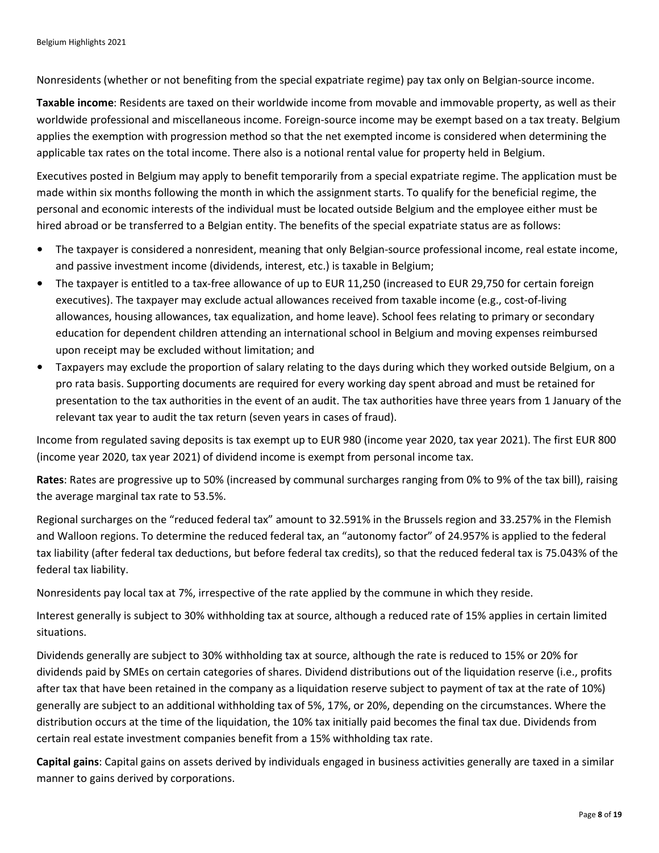Nonresidents (whether or not benefiting from the special expatriate regime) pay tax only on Belgian-source income.

**Taxable income**: Residents are taxed on their worldwide income from movable and immovable property, as well as their worldwide professional and miscellaneous income. Foreign-source income may be exempt based on a tax treaty. Belgium applies the exemption with progression method so that the net exempted income is considered when determining the applicable tax rates on the total income. There also is a notional rental value for property held in Belgium.

Executives posted in Belgium may apply to benefit temporarily from a special expatriate regime. The application must be made within six months following the month in which the assignment starts. To qualify for the beneficial regime, the personal and economic interests of the individual must be located outside Belgium and the employee either must be hired abroad or be transferred to a Belgian entity. The benefits of the special expatriate status are as follows:

- The taxpayer is considered a nonresident, meaning that only Belgian-source professional income, real estate income, and passive investment income (dividends, interest, etc.) is taxable in Belgium;
- The taxpayer is entitled to a tax-free allowance of up to EUR 11,250 (increased to EUR 29,750 for certain foreign executives). The taxpayer may exclude actual allowances received from taxable income (e.g., cost-of-living allowances, housing allowances, tax equalization, and home leave). School fees relating to primary or secondary education for dependent children attending an international school in Belgium and moving expenses reimbursed upon receipt may be excluded without limitation; and
- Taxpayers may exclude the proportion of salary relating to the days during which they worked outside Belgium, on a pro rata basis. Supporting documents are required for every working day spent abroad and must be retained for presentation to the tax authorities in the event of an audit. The tax authorities have three years from 1 January of the relevant tax year to audit the tax return (seven years in cases of fraud).

Income from regulated saving deposits is tax exempt up to EUR 980 (income year 2020, tax year 2021). The first EUR 800 (income year 2020, tax year 2021) of dividend income is exempt from personal income tax.

**Rates**: Rates are progressive up to 50% (increased by communal surcharges ranging from 0% to 9% of the tax bill), raising the average marginal tax rate to 53.5%.

Regional surcharges on the "reduced federal tax" amount to 32.591% in the Brussels region and 33.257% in the Flemish and Walloon regions. To determine the reduced federal tax, an "autonomy factor" of 24.957% is applied to the federal tax liability (after federal tax deductions, but before federal tax credits), so that the reduced federal tax is 75.043% of the federal tax liability.

Nonresidents pay local tax at 7%, irrespective of the rate applied by the commune in which they reside.

Interest generally is subject to 30% withholding tax at source, although a reduced rate of 15% applies in certain limited situations.

Dividends generally are subject to 30% withholding tax at source, although the rate is reduced to 15% or 20% for dividends paid by SMEs on certain categories of shares. Dividend distributions out of the liquidation reserve (i.e., profits after tax that have been retained in the company as a liquidation reserve subject to payment of tax at the rate of 10%) generally are subject to an additional withholding tax of 5%, 17%, or 20%, depending on the circumstances. Where the distribution occurs at the time of the liquidation, the 10% tax initially paid becomes the final tax due. Dividends from certain real estate investment companies benefit from a 15% withholding tax rate.

**Capital gains**: Capital gains on assets derived by individuals engaged in business activities generally are taxed in a similar manner to gains derived by corporations.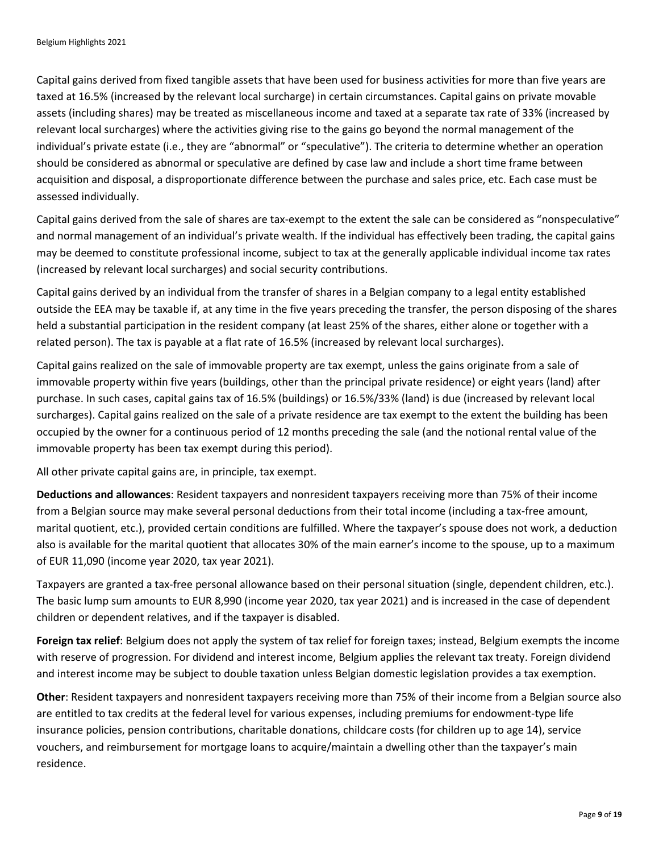Capital gains derived from fixed tangible assets that have been used for business activities for more than five years are taxed at 16.5% (increased by the relevant local surcharge) in certain circumstances. Capital gains on private movable assets (including shares) may be treated as miscellaneous income and taxed at a separate tax rate of 33% (increased by relevant local surcharges) where the activities giving rise to the gains go beyond the normal management of the individual's private estate (i.e., they are "abnormal" or "speculative"). The criteria to determine whether an operation should be considered as abnormal or speculative are defined by case law and include a short time frame between acquisition and disposal, a disproportionate difference between the purchase and sales price, etc. Each case must be assessed individually.

Capital gains derived from the sale of shares are tax-exempt to the extent the sale can be considered as "nonspeculative" and normal management of an individual's private wealth. If the individual has effectively been trading, the capital gains may be deemed to constitute professional income, subject to tax at the generally applicable individual income tax rates (increased by relevant local surcharges) and social security contributions.

Capital gains derived by an individual from the transfer of shares in a Belgian company to a legal entity established outside the EEA may be taxable if, at any time in the five years preceding the transfer, the person disposing of the shares held a substantial participation in the resident company (at least 25% of the shares, either alone or together with a related person). The tax is payable at a flat rate of 16.5% (increased by relevant local surcharges).

Capital gains realized on the sale of immovable property are tax exempt, unless the gains originate from a sale of immovable property within five years (buildings, other than the principal private residence) or eight years (land) after purchase. In such cases, capital gains tax of 16.5% (buildings) or 16.5%/33% (land) is due (increased by relevant local surcharges). Capital gains realized on the sale of a private residence are tax exempt to the extent the building has been occupied by the owner for a continuous period of 12 months preceding the sale (and the notional rental value of the immovable property has been tax exempt during this period).

All other private capital gains are, in principle, tax exempt.

**Deductions and allowances**: Resident taxpayers and nonresident taxpayers receiving more than 75% of their income from a Belgian source may make several personal deductions from their total income (including a tax-free amount, marital quotient, etc.), provided certain conditions are fulfilled. Where the taxpayer's spouse does not work, a deduction also is available for the marital quotient that allocates 30% of the main earner's income to the spouse, up to a maximum of EUR 11,090 (income year 2020, tax year 2021).

Taxpayers are granted a tax-free personal allowance based on their personal situation (single, dependent children, etc.). The basic lump sum amounts to EUR 8,990 (income year 2020, tax year 2021) and is increased in the case of dependent children or dependent relatives, and if the taxpayer is disabled.

**Foreign tax relief**: Belgium does not apply the system of tax relief for foreign taxes; instead, Belgium exempts the income with reserve of progression. For dividend and interest income, Belgium applies the relevant tax treaty. Foreign dividend and interest income may be subject to double taxation unless Belgian domestic legislation provides a tax exemption.

**Other**: Resident taxpayers and nonresident taxpayers receiving more than 75% of their income from a Belgian source also are entitled to tax credits at the federal level for various expenses, including premiums for endowment-type life insurance policies, pension contributions, charitable donations, childcare costs (for children up to age 14), service vouchers, and reimbursement for mortgage loans to acquire/maintain a dwelling other than the taxpayer's main residence.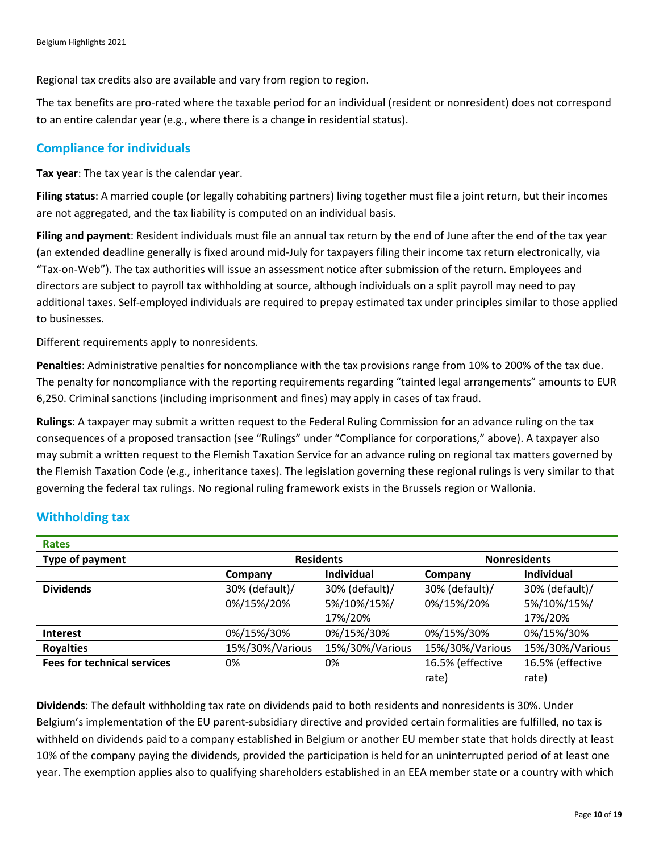Regional tax credits also are available and vary from region to region.

The tax benefits are pro-rated where the taxable period for an individual (resident or nonresident) does not correspond to an entire calendar year (e.g., where there is a change in residential status).

# **Compliance for individuals**

**Tax year**: The tax year is the calendar year.

**Filing status**: A married couple (or legally cohabiting partners) living together must file a joint return, but their incomes are not aggregated, and the tax liability is computed on an individual basis.

**Filing and payment**: Resident individuals must file an annual tax return by the end of June after the end of the tax year (an extended deadline generally is fixed around mid-July for taxpayers filing their income tax return electronically, via "Tax-on-Web"). The tax authorities will issue an assessment notice after submission of the return. Employees and directors are subject to payroll tax withholding at source, although individuals on a split payroll may need to pay additional taxes. Self-employed individuals are required to prepay estimated tax under principles similar to those applied to businesses.

Different requirements apply to nonresidents.

**Penalties**: Administrative penalties for noncompliance with the tax provisions range from 10% to 200% of the tax due. The penalty for noncompliance with the reporting requirements regarding "tainted legal arrangements" amounts to EUR 6,250. Criminal sanctions (including imprisonment and fines) may apply in cases of tax fraud.

**Rulings**: A taxpayer may submit a written request to the Federal Ruling Commission for an advance ruling on the tax consequences of a proposed transaction (see "Rulings" under "Compliance for corporations," above). A taxpayer also may submit a written request to the Flemish Taxation Service for an advance ruling on regional tax matters governed by the Flemish Taxation Code (e.g., inheritance taxes). The legislation governing these regional rulings is very similar to that governing the federal tax rulings. No regional ruling framework exists in the Brussels region or Wallonia.

| <b>Rates</b>                       |                  |                   |                     |                   |
|------------------------------------|------------------|-------------------|---------------------|-------------------|
| Type of payment                    | <b>Residents</b> |                   | <b>Nonresidents</b> |                   |
|                                    | Company          | <b>Individual</b> | Company             | <b>Individual</b> |
| <b>Dividends</b>                   | 30% (default)/   | 30% (default)/    | 30% (default)/      | 30% (default)/    |
|                                    | 0%/15%/20%       | 5%/10%/15%/       | 0%/15%/20%          | 5%/10%/15%/       |
|                                    |                  | 17%/20%           |                     | 17%/20%           |
| <b>Interest</b>                    | 0%/15%/30%       | 0%/15%/30%        | 0%/15%/30%          | 0%/15%/30%        |
| <b>Royalties</b>                   | 15%/30%/Various  | 15%/30%/Various   | 15%/30%/Various     | 15%/30%/Various   |
| <b>Fees for technical services</b> | 0%               | 0%                | 16.5% (effective    | 16.5% (effective  |
|                                    |                  |                   | rate)               | rate)             |

# **Withholding tax**

**Dividends**: The default withholding tax rate on dividends paid to both residents and nonresidents is 30%. Under Belgium's implementation of the EU parent-subsidiary directive and provided certain formalities are fulfilled, no tax is withheld on dividends paid to a company established in Belgium or another EU member state that holds directly at least 10% of the company paying the dividends, provided the participation is held for an uninterrupted period of at least one year. The exemption applies also to qualifying shareholders established in an EEA member state or a country with which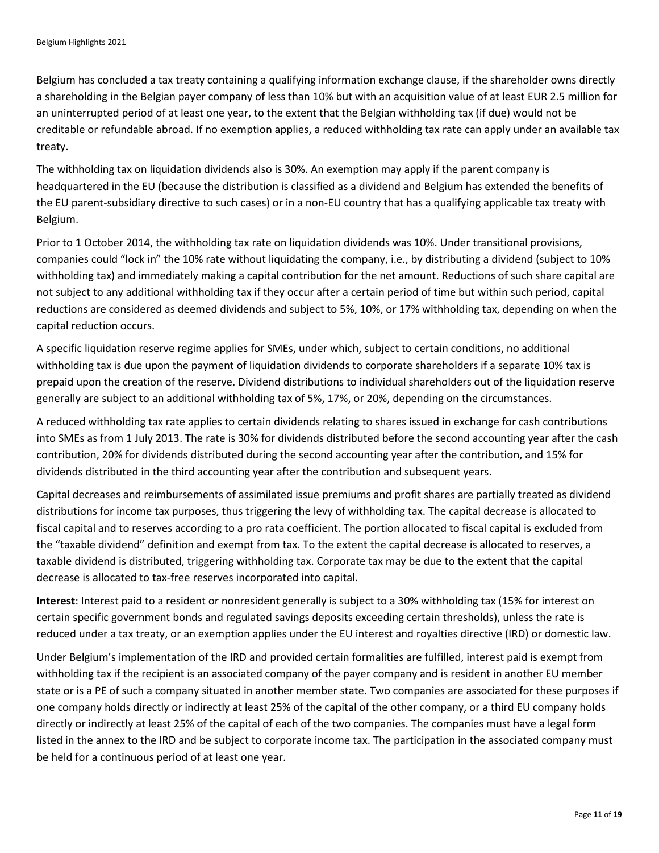Belgium has concluded a tax treaty containing a qualifying information exchange clause, if the shareholder owns directly a shareholding in the Belgian payer company of less than 10% but with an acquisition value of at least EUR 2.5 million for an uninterrupted period of at least one year, to the extent that the Belgian withholding tax (if due) would not be creditable or refundable abroad. If no exemption applies, a reduced withholding tax rate can apply under an available tax treaty.

The withholding tax on liquidation dividends also is 30%. An exemption may apply if the parent company is headquartered in the EU (because the distribution is classified as a dividend and Belgium has extended the benefits of the EU parent-subsidiary directive to such cases) or in a non-EU country that has a qualifying applicable tax treaty with Belgium.

Prior to 1 October 2014, the withholding tax rate on liquidation dividends was 10%. Under transitional provisions, companies could "lock in" the 10% rate without liquidating the company, i.e., by distributing a dividend (subject to 10% withholding tax) and immediately making a capital contribution for the net amount. Reductions of such share capital are not subject to any additional withholding tax if they occur after a certain period of time but within such period, capital reductions are considered as deemed dividends and subject to 5%, 10%, or 17% withholding tax, depending on when the capital reduction occurs.

A specific liquidation reserve regime applies for SMEs, under which, subject to certain conditions, no additional withholding tax is due upon the payment of liquidation dividends to corporate shareholders if a separate 10% tax is prepaid upon the creation of the reserve. Dividend distributions to individual shareholders out of the liquidation reserve generally are subject to an additional withholding tax of 5%, 17%, or 20%, depending on the circumstances.

A reduced withholding tax rate applies to certain dividends relating to shares issued in exchange for cash contributions into SMEs as from 1 July 2013. The rate is 30% for dividends distributed before the second accounting year after the cash contribution, 20% for dividends distributed during the second accounting year after the contribution, and 15% for dividends distributed in the third accounting year after the contribution and subsequent years.

Capital decreases and reimbursements of assimilated issue premiums and profit shares are partially treated as dividend distributions for income tax purposes, thus triggering the levy of withholding tax. The capital decrease is allocated to fiscal capital and to reserves according to a pro rata coefficient. The portion allocated to fiscal capital is excluded from the "taxable dividend" definition and exempt from tax. To the extent the capital decrease is allocated to reserves, a taxable dividend is distributed, triggering withholding tax. Corporate tax may be due to the extent that the capital decrease is allocated to tax-free reserves incorporated into capital.

**Interest**: Interest paid to a resident or nonresident generally is subject to a 30% withholding tax (15% for interest on certain specific government bonds and regulated savings deposits exceeding certain thresholds), unless the rate is reduced under a tax treaty, or an exemption applies under the EU interest and royalties directive (IRD) or domestic law.

Under Belgium's implementation of the IRD and provided certain formalities are fulfilled, interest paid is exempt from withholding tax if the recipient is an associated company of the payer company and is resident in another EU member state or is a PE of such a company situated in another member state. Two companies are associated for these purposes if one company holds directly or indirectly at least 25% of the capital of the other company, or a third EU company holds directly or indirectly at least 25% of the capital of each of the two companies. The companies must have a legal form listed in the annex to the IRD and be subject to corporate income tax. The participation in the associated company must be held for a continuous period of at least one year.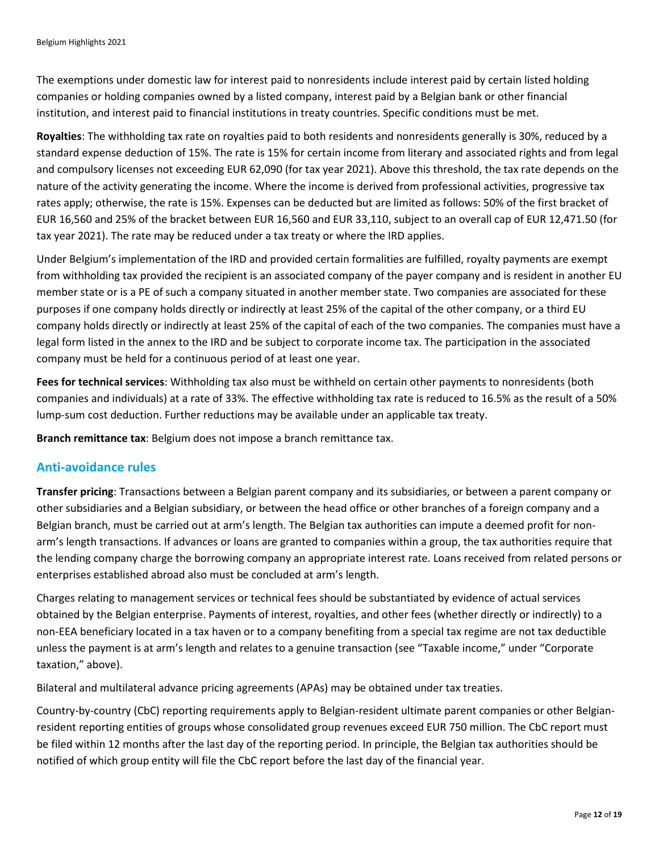The exemptions under domestic law for interest paid to nonresidents include interest paid by certain listed holding companies or holding companies owned by a listed company, interest paid by a Belgian bank or other financial institution, and interest paid to financial institutions in treaty countries. Specific conditions must be met.

**Royalties**: The withholding tax rate on royalties paid to both residents and nonresidents generally is 30%, reduced by a standard expense deduction of 15%. The rate is 15% for certain income from literary and associated rights and from legal and compulsory licenses not exceeding EUR 62,090 (for tax year 2021). Above this threshold, the tax rate depends on the nature of the activity generating the income. Where the income is derived from professional activities, progressive tax rates apply; otherwise, the rate is 15%. Expenses can be deducted but are limited as follows: 50% of the first bracket of EUR 16,560 and 25% of the bracket between EUR 16,560 and EUR 33,110, subject to an overall cap of EUR 12,471.50 (for tax year 2021). The rate may be reduced under a tax treaty or where the IRD applies.

Under Belgium's implementation of the IRD and provided certain formalities are fulfilled, royalty payments are exempt from withholding tax provided the recipient is an associated company of the payer company and is resident in another EU member state or is a PE of such a company situated in another member state. Two companies are associated for these purposes if one company holds directly or indirectly at least 25% of the capital of the other company, or a third EU company holds directly or indirectly at least 25% of the capital of each of the two companies. The companies must have a legal form listed in the annex to the IRD and be subject to corporate income tax. The participation in the associated company must be held for a continuous period of at least one year.

**Fees for technical services**: Withholding tax also must be withheld on certain other payments to nonresidents (both companies and individuals) at a rate of 33%. The effective withholding tax rate is reduced to 16.5% as the result of a 50% lump-sum cost deduction. Further reductions may be available under an applicable tax treaty.

**Branch remittance tax**: Belgium does not impose a branch remittance tax.

## **Anti-avoidance rules**

**Transfer pricing**: Transactions between a Belgian parent company and its subsidiaries, or between a parent company or other subsidiaries and a Belgian subsidiary, or between the head office or other branches of a foreign company and a Belgian branch, must be carried out at arm's length. The Belgian tax authorities can impute a deemed profit for nonarm's length transactions. If advances or loans are granted to companies within a group, the tax authorities require that the lending company charge the borrowing company an appropriate interest rate. Loans received from related persons or enterprises established abroad also must be concluded at arm's length.

Charges relating to management services or technical fees should be substantiated by evidence of actual services obtained by the Belgian enterprise. Payments of interest, royalties, and other fees (whether directly or indirectly) to a non-EEA beneficiary located in a tax haven or to a company benefiting from a special tax regime are not tax deductible unless the payment is at arm's length and relates to a genuine transaction (see "Taxable income," under "Corporate taxation," above).

Bilateral and multilateral advance pricing agreements (APAs) may be obtained under tax treaties.

Country-by-country (CbC) reporting requirements apply to Belgian-resident ultimate parent companies or other Belgianresident reporting entities of groups whose consolidated group revenues exceed EUR 750 million. The CbC report must be filed within 12 months after the last day of the reporting period. In principle, the Belgian tax authorities should be notified of which group entity will file the CbC report before the last day of the financial year.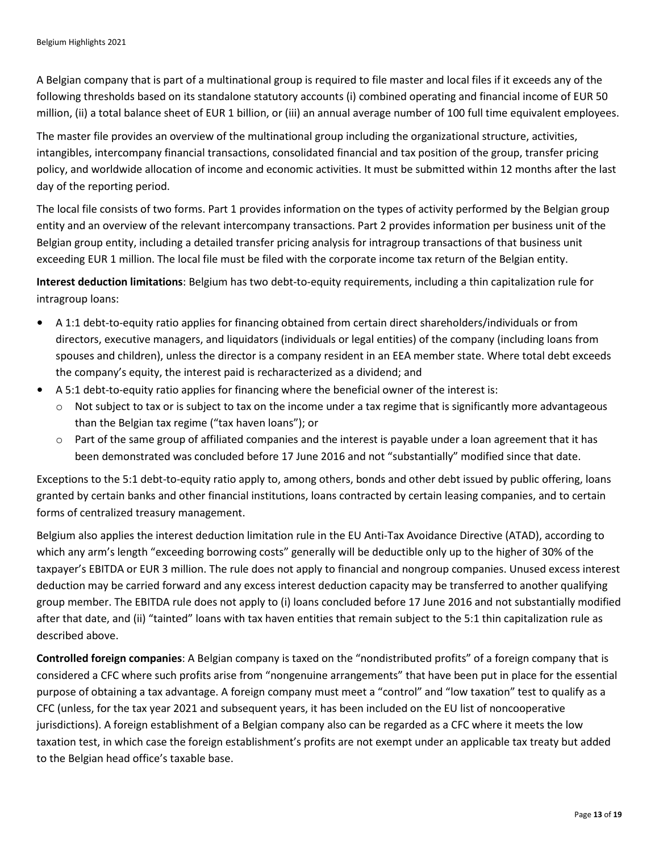A Belgian company that is part of a multinational group is required to file master and local files if it exceeds any of the following thresholds based on its standalone statutory accounts (i) combined operating and financial income of EUR 50 million, (ii) a total balance sheet of EUR 1 billion, or (iii) an annual average number of 100 full time equivalent employees.

The master file provides an overview of the multinational group including the organizational structure, activities, intangibles, intercompany financial transactions, consolidated financial and tax position of the group, transfer pricing policy, and worldwide allocation of income and economic activities. It must be submitted within 12 months after the last day of the reporting period.

The local file consists of two forms. Part 1 provides information on the types of activity performed by the Belgian group entity and an overview of the relevant intercompany transactions. Part 2 provides information per business unit of the Belgian group entity, including a detailed transfer pricing analysis for intragroup transactions of that business unit exceeding EUR 1 million. The local file must be filed with the corporate income tax return of the Belgian entity.

**Interest deduction limitations**: Belgium has two debt-to-equity requirements, including a thin capitalization rule for intragroup loans:

- A 1:1 debt-to-equity ratio applies for financing obtained from certain direct shareholders/individuals or from directors, executive managers, and liquidators (individuals or legal entities) of the company (including loans from spouses and children), unless the director is a company resident in an EEA member state. Where total debt exceeds the company's equity, the interest paid is recharacterized as a dividend; and
- A 5:1 debt-to-equity ratio applies for financing where the beneficial owner of the interest is:
	- $\circ$  Not subject to tax or is subject to tax on the income under a tax regime that is significantly more advantageous than the Belgian tax regime ("tax haven loans"); or
	- $\circ$  Part of the same group of affiliated companies and the interest is payable under a loan agreement that it has been demonstrated was concluded before 17 June 2016 and not "substantially" modified since that date.

Exceptions to the 5:1 debt-to-equity ratio apply to, among others, bonds and other debt issued by public offering, loans granted by certain banks and other financial institutions, loans contracted by certain leasing companies, and to certain forms of centralized treasury management.

Belgium also applies the interest deduction limitation rule in the EU Anti-Tax Avoidance Directive (ATAD), according to which any arm's length "exceeding borrowing costs" generally will be deductible only up to the higher of 30% of the taxpayer's EBITDA or EUR 3 million. The rule does not apply to financial and nongroup companies. Unused excess interest deduction may be carried forward and any excess interest deduction capacity may be transferred to another qualifying group member. The EBITDA rule does not apply to (i) loans concluded before 17 June 2016 and not substantially modified after that date, and (ii) "tainted" loans with tax haven entities that remain subject to the 5:1 thin capitalization rule as described above.

**Controlled foreign companies**: A Belgian company is taxed on the "nondistributed profits" of a foreign company that is considered a CFC where such profits arise from "nongenuine arrangements" that have been put in place for the essential purpose of obtaining a tax advantage. A foreign company must meet a "control" and "low taxation" test to qualify as a CFC (unless, for the tax year 2021 and subsequent years, it has been included on the EU list of noncooperative jurisdictions). A foreign establishment of a Belgian company also can be regarded as a CFC where it meets the low taxation test, in which case the foreign establishment's profits are not exempt under an applicable tax treaty but added to the Belgian head office's taxable base.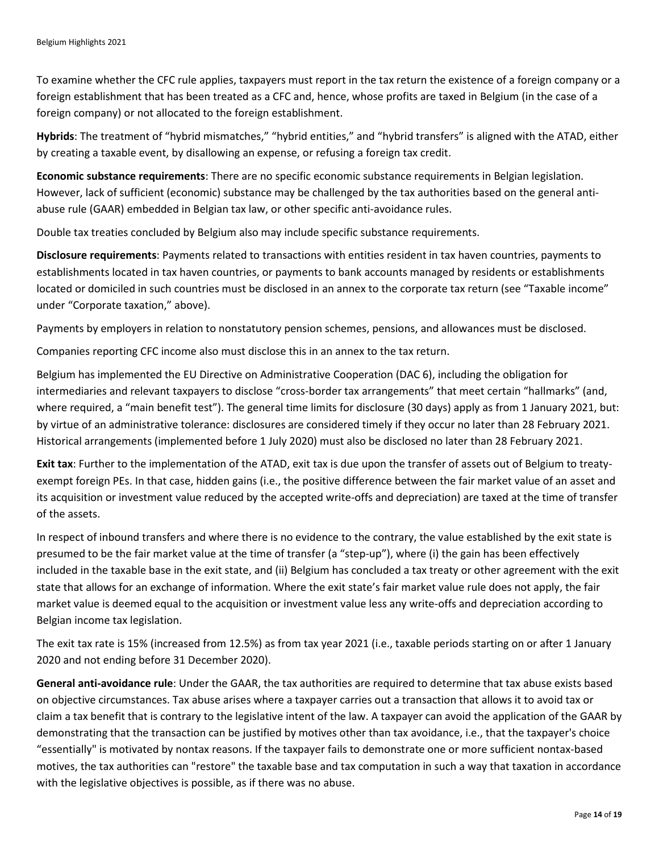To examine whether the CFC rule applies, taxpayers must report in the tax return the existence of a foreign company or a foreign establishment that has been treated as a CFC and, hence, whose profits are taxed in Belgium (in the case of a foreign company) or not allocated to the foreign establishment.

**Hybrids**: The treatment of "hybrid mismatches," "hybrid entities," and "hybrid transfers" is aligned with the ATAD, either by creating a taxable event, by disallowing an expense, or refusing a foreign tax credit.

**Economic substance requirements**: There are no specific economic substance requirements in Belgian legislation. However, lack of sufficient (economic) substance may be challenged by the tax authorities based on the general antiabuse rule (GAAR) embedded in Belgian tax law, or other specific anti-avoidance rules.

Double tax treaties concluded by Belgium also may include specific substance requirements.

**Disclosure requirements**: Payments related to transactions with entities resident in tax haven countries, payments to establishments located in tax haven countries, or payments to bank accounts managed by residents or establishments located or domiciled in such countries must be disclosed in an annex to the corporate tax return (see "Taxable income" under "Corporate taxation," above).

Payments by employers in relation to nonstatutory pension schemes, pensions, and allowances must be disclosed.

Companies reporting CFC income also must disclose this in an annex to the tax return.

Belgium has implemented the EU Directive on Administrative Cooperation (DAC 6), including the obligation for intermediaries and relevant taxpayers to disclose "cross-border tax arrangements" that meet certain "hallmarks" (and, where required, a "main benefit test"). The general time limits for disclosure (30 days) apply as from 1 January 2021, but: by virtue of an administrative tolerance: disclosures are considered timely if they occur no later than 28 February 2021. Historical arrangements (implemented before 1 July 2020) must also be disclosed no later than 28 February 2021.

**Exit tax**: Further to the implementation of the ATAD, exit tax is due upon the transfer of assets out of Belgium to treatyexempt foreign PEs. In that case, hidden gains (i.e., the positive difference between the fair market value of an asset and its acquisition or investment value reduced by the accepted write-offs and depreciation) are taxed at the time of transfer of the assets.

In respect of inbound transfers and where there is no evidence to the contrary, the value established by the exit state is presumed to be the fair market value at the time of transfer (a "step-up"), where (i) the gain has been effectively included in the taxable base in the exit state, and (ii) Belgium has concluded a tax treaty or other agreement with the exit state that allows for an exchange of information. Where the exit state's fair market value rule does not apply, the fair market value is deemed equal to the acquisition or investment value less any write-offs and depreciation according to Belgian income tax legislation.

The exit tax rate is 15% (increased from 12.5%) as from tax year 2021 (i.e., taxable periods starting on or after 1 January 2020 and not ending before 31 December 2020).

**General anti-avoidance rule**: Under the GAAR, the tax authorities are required to determine that tax abuse exists based on objective circumstances. Tax abuse arises where a taxpayer carries out a transaction that allows it to avoid tax or claim a tax benefit that is contrary to the legislative intent of the law. A taxpayer can avoid the application of the GAAR by demonstrating that the transaction can be justified by motives other than tax avoidance, i.e., that the taxpayer's choice "essentially" is motivated by nontax reasons. If the taxpayer fails to demonstrate one or more sufficient nontax-based motives, the tax authorities can "restore" the taxable base and tax computation in such a way that taxation in accordance with the legislative objectives is possible, as if there was no abuse.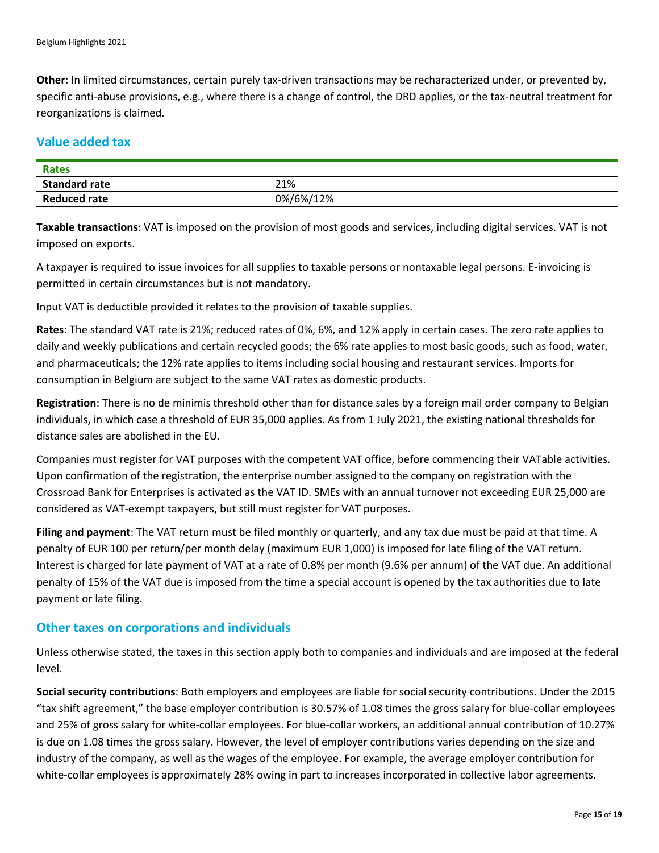**Other**: In limited circumstances, certain purely tax-driven transactions may be recharacterized under, or prevented by, specific anti-abuse provisions, e.g., where there is a change of control, the DRD applies, or the tax-neutral treatment for reorganizations is claimed.

# **Value added tax**

| <b>Rates</b>         |           |
|----------------------|-----------|
| <b>Standard rate</b> | 21%       |
| <b>Reduced rate</b>  | 0%/6%/12% |

**Taxable transactions**: VAT is imposed on the provision of most goods and services, including digital services. VAT is not imposed on exports.

A taxpayer is required to issue invoices for all supplies to taxable persons or nontaxable legal persons. E-invoicing is permitted in certain circumstances but is not mandatory.

Input VAT is deductible provided it relates to the provision of taxable supplies.

**Rates**: The standard VAT rate is 21%; reduced rates of 0%, 6%, and 12% apply in certain cases. The zero rate applies to daily and weekly publications and certain recycled goods; the 6% rate applies to most basic goods, such as food, water, and pharmaceuticals; the 12% rate applies to items including social housing and restaurant services. Imports for consumption in Belgium are subject to the same VAT rates as domestic products.

**Registration**: There is no de minimis threshold other than for distance sales by a foreign mail order company to Belgian individuals, in which case a threshold of EUR 35,000 applies. As from 1 July 2021, the existing national thresholds for distance sales are abolished in the EU.

Companies must register for VAT purposes with the competent VAT office, before commencing their VATable activities. Upon confirmation of the registration, the enterprise number assigned to the company on registration with the Crossroad Bank for Enterprises is activated as the VAT ID. SMEs with an annual turnover not exceeding EUR 25,000 are considered as VAT-exempt taxpayers, but still must register for VAT purposes.

**Filing and payment**: The VAT return must be filed monthly or quarterly, and any tax due must be paid at that time. A penalty of EUR 100 per return/per month delay (maximum EUR 1,000) is imposed for late filing of the VAT return. Interest is charged for late payment of VAT at a rate of 0.8% per month (9.6% per annum) of the VAT due. An additional penalty of 15% of the VAT due is imposed from the time a special account is opened by the tax authorities due to late payment or late filing.

#### **Other taxes on corporations and individuals**

Unless otherwise stated, the taxes in this section apply both to companies and individuals and are imposed at the federal level.

**Social security contributions**: Both employers and employees are liable for social security contributions. Under the 2015 "tax shift agreement," the base employer contribution is 30.57% of 1.08 times the gross salary for blue-collar employees and 25% of gross salary for white-collar employees. For blue-collar workers, an additional annual contribution of 10.27% is due on 1.08 times the gross salary. However, the level of employer contributions varies depending on the size and industry of the company, as well as the wages of the employee. For example, the average employer contribution for white-collar employees is approximately 28% owing in part to increases incorporated in collective labor agreements.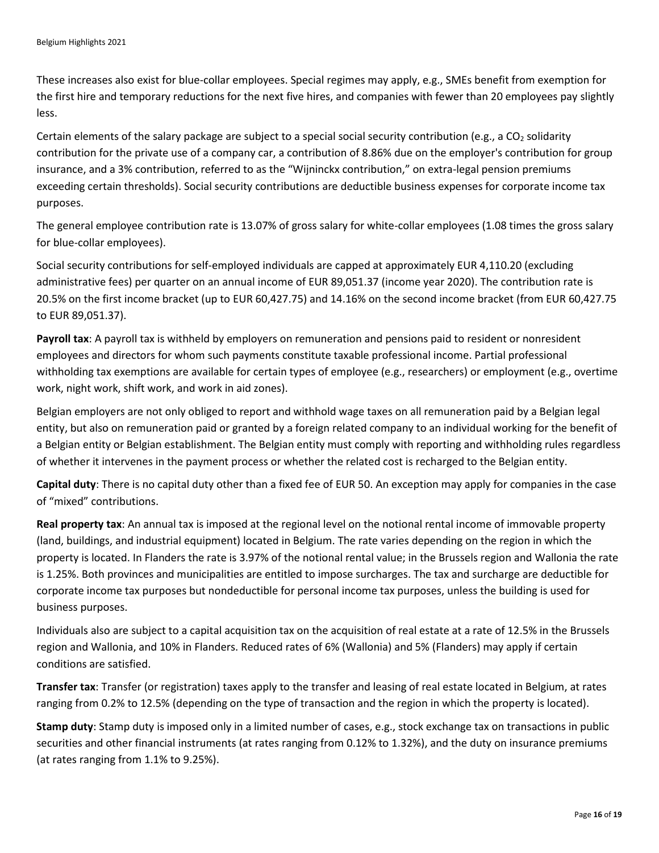These increases also exist for blue-collar employees. Special regimes may apply, e.g., SMEs benefit from exemption for the first hire and temporary reductions for the next five hires, and companies with fewer than 20 employees pay slightly less.

Certain elements of the salary package are subject to a special social security contribution (e.g., a CO<sub>2</sub> solidarity contribution for the private use of a company car, a contribution of 8.86% due on the employer's contribution for group insurance, and a 3% contribution, referred to as the "Wijninckx contribution," on extra-legal pension premiums exceeding certain thresholds). Social security contributions are deductible business expenses for corporate income tax purposes.

The general employee contribution rate is 13.07% of gross salary for white-collar employees (1.08 times the gross salary for blue-collar employees).

Social security contributions for self-employed individuals are capped at approximately EUR 4,110.20 (excluding administrative fees) per quarter on an annual income of EUR 89,051.37 (income year 2020). The contribution rate is 20.5% on the first income bracket (up to EUR 60,427.75) and 14.16% on the second income bracket (from EUR 60,427.75 to EUR 89,051.37).

**Payroll tax**: A payroll tax is withheld by employers on remuneration and pensions paid to resident or nonresident employees and directors for whom such payments constitute taxable professional income. Partial professional withholding tax exemptions are available for certain types of employee (e.g., researchers) or employment (e.g., overtime work, night work, shift work, and work in aid zones).

Belgian employers are not only obliged to report and withhold wage taxes on all remuneration paid by a Belgian legal entity, but also on remuneration paid or granted by a foreign related company to an individual working for the benefit of a Belgian entity or Belgian establishment. The Belgian entity must comply with reporting and withholding rules regardless of whether it intervenes in the payment process or whether the related cost is recharged to the Belgian entity.

**Capital duty**: There is no capital duty other than a fixed fee of EUR 50. An exception may apply for companies in the case of "mixed" contributions.

**Real property tax**: An annual tax is imposed at the regional level on the notional rental income of immovable property (land, buildings, and industrial equipment) located in Belgium. The rate varies depending on the region in which the property is located. In Flanders the rate is 3.97% of the notional rental value; in the Brussels region and Wallonia the rate is 1.25%. Both provinces and municipalities are entitled to impose surcharges. The tax and surcharge are deductible for corporate income tax purposes but nondeductible for personal income tax purposes, unless the building is used for business purposes.

Individuals also are subject to a capital acquisition tax on the acquisition of real estate at a rate of 12.5% in the Brussels region and Wallonia, and 10% in Flanders. Reduced rates of 6% (Wallonia) and 5% (Flanders) may apply if certain conditions are satisfied.

**Transfer tax**: Transfer (or registration) taxes apply to the transfer and leasing of real estate located in Belgium, at rates ranging from 0.2% to 12.5% (depending on the type of transaction and the region in which the property is located).

**Stamp duty**: Stamp duty is imposed only in a limited number of cases, e.g., stock exchange tax on transactions in public securities and other financial instruments (at rates ranging from 0.12% to 1.32%), and the duty on insurance premiums (at rates ranging from 1.1% to 9.25%).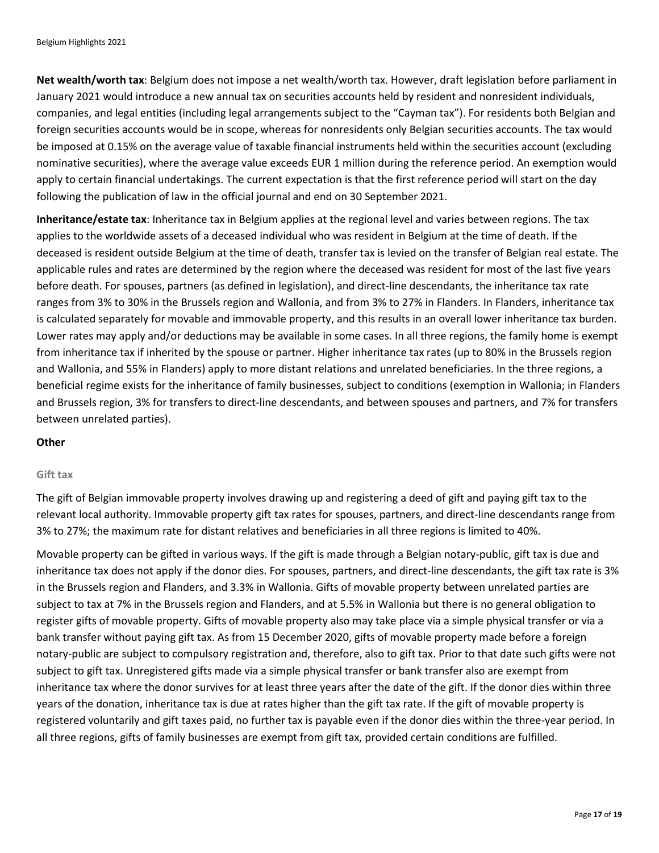**Net wealth/worth tax**: Belgium does not impose a net wealth/worth tax. However, draft legislation before parliament in January 2021 would introduce a new annual tax on securities accounts held by resident and nonresident individuals, companies, and legal entities (including legal arrangements subject to the "Cayman tax"). For residents both Belgian and foreign securities accounts would be in scope, whereas for nonresidents only Belgian securities accounts. The tax would be imposed at 0.15% on the average value of taxable financial instruments held within the securities account (excluding nominative securities), where the average value exceeds EUR 1 million during the reference period. An exemption would apply to certain financial undertakings. The current expectation is that the first reference period will start on the day following the publication of law in the official journal and end on 30 September 2021.

**Inheritance/estate tax**: Inheritance tax in Belgium applies at the regional level and varies between regions. The tax applies to the worldwide assets of a deceased individual who was resident in Belgium at the time of death. If the deceased is resident outside Belgium at the time of death, transfer tax is levied on the transfer of Belgian real estate. The applicable rules and rates are determined by the region where the deceased was resident for most of the last five years before death. For spouses, partners (as defined in legislation), and direct-line descendants, the inheritance tax rate ranges from 3% to 30% in the Brussels region and Wallonia, and from 3% to 27% in Flanders. In Flanders, inheritance tax is calculated separately for movable and immovable property, and this results in an overall lower inheritance tax burden. Lower rates may apply and/or deductions may be available in some cases. In all three regions, the family home is exempt from inheritance tax if inherited by the spouse or partner. Higher inheritance tax rates (up to 80% in the Brussels region and Wallonia, and 55% in Flanders) apply to more distant relations and unrelated beneficiaries. In the three regions, a beneficial regime exists for the inheritance of family businesses, subject to conditions (exemption in Wallonia; in Flanders and Brussels region, 3% for transfers to direct-line descendants, and between spouses and partners, and 7% for transfers between unrelated parties).

#### **Other**

#### **Gift tax**

The gift of Belgian immovable property involves drawing up and registering a deed of gift and paying gift tax to the relevant local authority. Immovable property gift tax rates for spouses, partners, and direct-line descendants range from 3% to 27%; the maximum rate for distant relatives and beneficiaries in all three regions is limited to 40%.

Movable property can be gifted in various ways. If the gift is made through a Belgian notary-public, gift tax is due and inheritance tax does not apply if the donor dies. For spouses, partners, and direct-line descendants, the gift tax rate is 3% in the Brussels region and Flanders, and 3.3% in Wallonia. Gifts of movable property between unrelated parties are subject to tax at 7% in the Brussels region and Flanders, and at 5.5% in Wallonia but there is no general obligation to register gifts of movable property. Gifts of movable property also may take place via a simple physical transfer or via a bank transfer without paying gift tax. As from 15 December 2020, gifts of movable property made before a foreign notary-public are subject to compulsory registration and, therefore, also to gift tax. Prior to that date such gifts were not subject to gift tax. Unregistered gifts made via a simple physical transfer or bank transfer also are exempt from inheritance tax where the donor survives for at least three years after the date of the gift. If the donor dies within three years of the donation, inheritance tax is due at rates higher than the gift tax rate. If the gift of movable property is registered voluntarily and gift taxes paid, no further tax is payable even if the donor dies within the three-year period. In all three regions, gifts of family businesses are exempt from gift tax, provided certain conditions are fulfilled.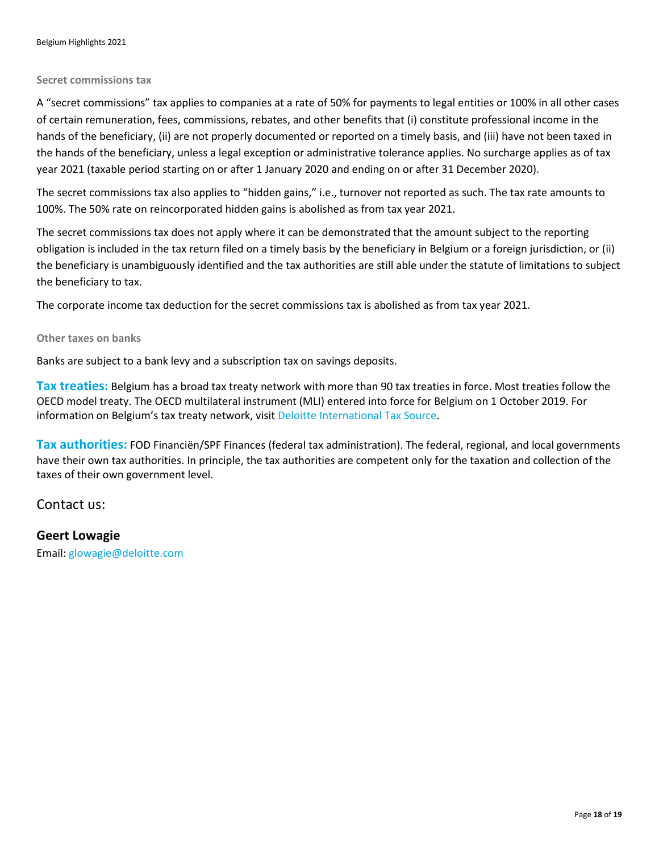#### **Secret commissions tax**

A "secret commissions" tax applies to companies at a rate of 50% for payments to legal entities or 100% in all other cases of certain remuneration, fees, commissions, rebates, and other benefits that (i) constitute professional income in the hands of the beneficiary, (ii) are not properly documented or reported on a timely basis, and (iii) have not been taxed in the hands of the beneficiary, unless a legal exception or administrative tolerance applies. No surcharge applies as of tax year 2021 (taxable period starting on or after 1 January 2020 and ending on or after 31 December 2020).

The secret commissions tax also applies to "hidden gains," i.e., turnover not reported as such. The tax rate amounts to 100%. The 50% rate on reincorporated hidden gains is abolished as from tax year 2021.

The secret commissions tax does not apply where it can be demonstrated that the amount subject to the reporting obligation is included in the tax return filed on a timely basis by the beneficiary in Belgium or a foreign jurisdiction, or (ii) the beneficiary is unambiguously identified and the tax authorities are still able under the statute of limitations to subject the beneficiary to tax.

The corporate income tax deduction for the secret commissions tax is abolished as from tax year 2021.

#### **Other taxes on banks**

Banks are subject to a bank levy and a subscription tax on savings deposits.

**Tax treaties:** Belgium has a broad tax treaty network with more than 90 tax treaties in force. Most treaties follow the OECD model treaty. The OECD multilateral instrument (MLI) entered into force for Belgium on 1 October 2019. For information on Belgium's tax treaty network, visit [Deloitte International Tax Source.](https://dits.deloitte.com/#Jurisdiction/22)

**Tax authorities:** FOD Financiën/SPF Finances (federal tax administration). The federal, regional, and local governments have their own tax authorities. In principle, the tax authorities are competent only for the taxation and collection of the taxes of their own government level.

Contact us:

**Geert Lowagie** Email: [glowagie@deloitte.com](mailto:glowagie@deloitte.com)

Page **18** of **19**